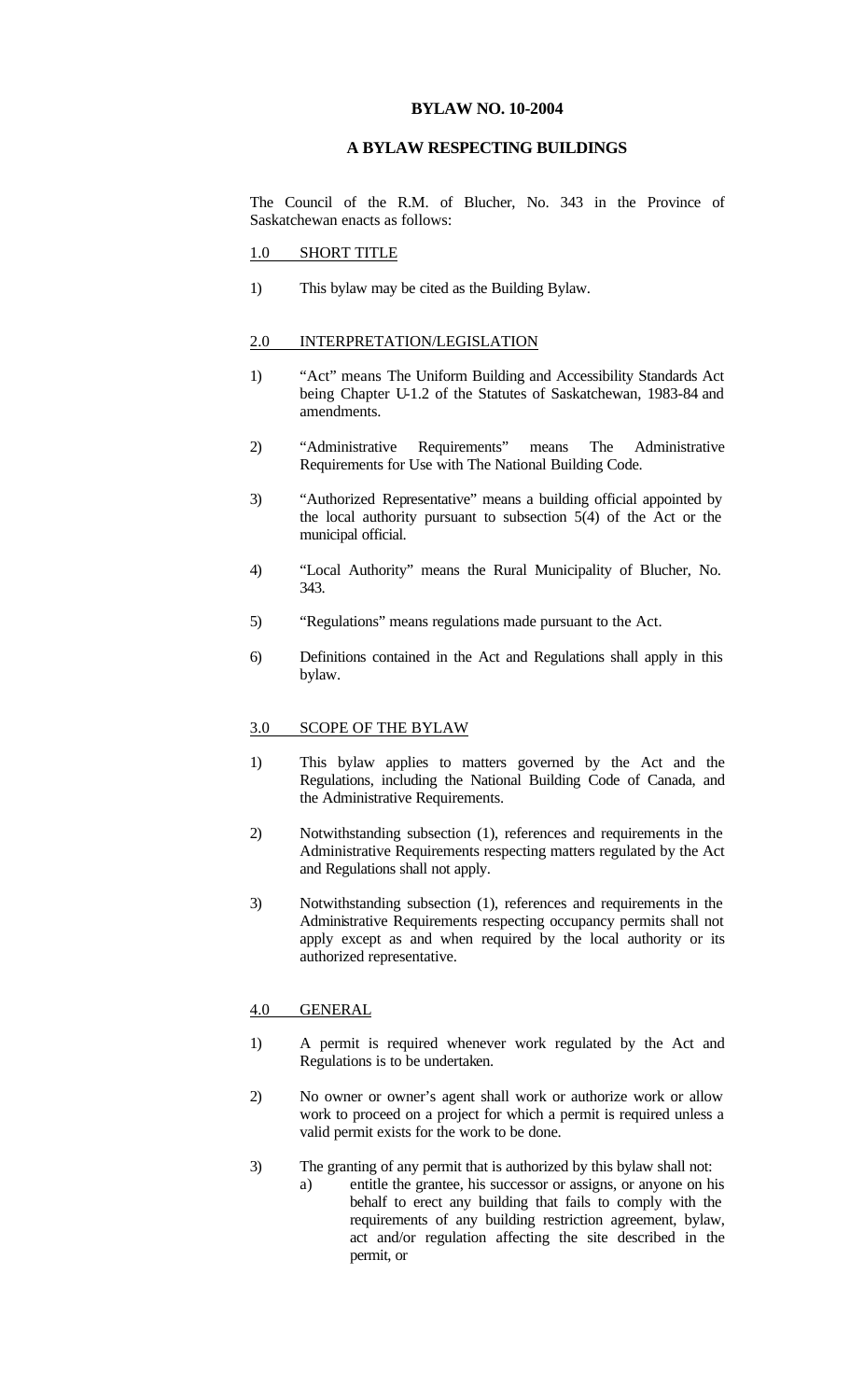# **BYLAW NO. 10-2004**

# **A BYLAW RESPECTING BUILDINGS**

The Council of the R.M. of Blucher, No. 343 in the Province of Saskatchewan enacts as follows:

# 1.0 SHORT TITLE

1) This bylaw may be cited as the Building Bylaw.

#### 2.0 INTERPRETATION/LEGISLATION

- 1) "Act" means The Uniform Building and Accessibility Standards Act being Chapter U-1.2 of the Statutes of Saskatchewan, 1983-84 and amendments.
- 2) "Administrative Requirements" means The Administrative Requirements for Use with The National Building Code.
- 3) "Authorized Representative" means a building official appointed by the local authority pursuant to subsection 5(4) of the Act or the municipal official.
- 4) "Local Authority" means the Rural Municipality of Blucher, No. 343.
- 5) "Regulations" means regulations made pursuant to the Act.
- 6) Definitions contained in the Act and Regulations shall apply in this bylaw.

### 3.0 SCOPE OF THE BYLAW

- 1) This bylaw applies to matters governed by the Act and the Regulations, including the National Building Code of Canada, and the Administrative Requirements.
- 2) Notwithstanding subsection (1), references and requirements in the Administrative Requirements respecting matters regulated by the Act and Regulations shall not apply.
- 3) Notwithstanding subsection (1), references and requirements in the Administrative Requirements respecting occupancy permits shall not apply except as and when required by the local authority or its authorized representative.

# 4.0 GENERAL

- 1) A permit is required whenever work regulated by the Act and Regulations is to be undertaken.
- 2) No owner or owner's agent shall work or authorize work or allow work to proceed on a project for which a permit is required unless a valid permit exists for the work to be done.
- 3) The granting of any permit that is authorized by this bylaw shall not:
	- a) entitle the grantee, his successor or assigns, or anyone on his behalf to erect any building that fails to comply with the requirements of any building restriction agreement, bylaw, act and/or regulation affecting the site described in the permit, or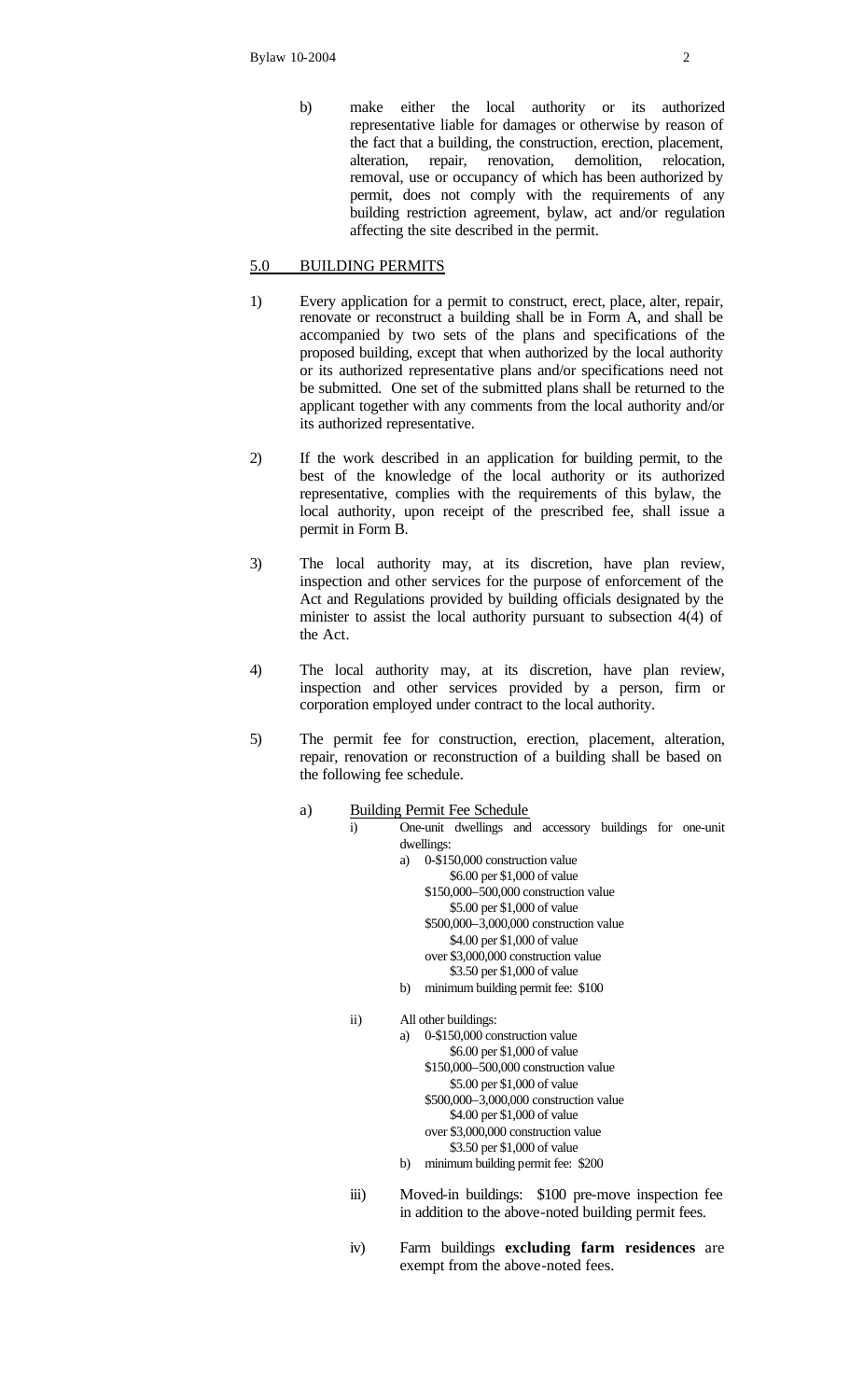b) make either the local authority or its authorized representative liable for damages or otherwise by reason of the fact that a building, the construction, erection, placement, alteration, repair, renovation, demolition, relocation, alteration, repair, renovation, removal, use or occupancy of which has been authorized by permit, does not comply with the requirements of any building restriction agreement, bylaw, act and/or regulation affecting the site described in the permit.

# 5.0 BUILDING PERMITS

- 1) Every application for a permit to construct, erect, place, alter, repair, renovate or reconstruct a building shall be in Form A, and shall be accompanied by two sets of the plans and specifications of the proposed building, except that when authorized by the local authority or its authorized representative plans and/or specifications need not be submitted. One set of the submitted plans shall be returned to the applicant together with any comments from the local authority and/or its authorized representative.
- 2) If the work described in an application for building permit, to the best of the knowledge of the local authority or its authorized representative, complies with the requirements of this bylaw, the local authority, upon receipt of the prescribed fee, shall issue a permit in Form B.
- 3) The local authority may, at its discretion, have plan review, inspection and other services for the purpose of enforcement of the Act and Regulations provided by building officials designated by the minister to assist the local authority pursuant to subsection 4(4) of the Act.
- 4) The local authority may, at its discretion, have plan review, inspection and other services provided by a person, firm or corporation employed under contract to the local authority.
- 5) The permit fee for construction, erection, placement, alteration, repair, renovation or reconstruction of a building shall be based on the following fee schedule.
	- a) Building Permit Fee Schedule
		- i) One-unit dwellings and accessory buildings for one-unit dwellings:
			- a) 0-\$150,000 construction value \$6.00 per \$1,000 of value \$150,000–500,000 construction value \$5.00 per \$1,000 of value \$500,000–3,000,000 construction value \$4.00 per \$1,000 of value over \$3,000,000 construction value \$3.50 per \$1,000 of value
			- b) minimum building permit fee: \$100
			- ii) All other buildings:
				- a) 0-\$150,000 construction value \$6.00 per \$1,000 of value \$150,000–500,000 construction value \$5.00 per \$1,000 of value \$500,000–3,000,000 construction value \$4.00 per \$1,000 of value over \$3,000,000 construction value \$3.50 per \$1,000 of value b) minimum building permit fee: \$200
			- iii) Moved-in buildings: \$100 pre-move inspection fee in addition to the above-noted building permit fees.
			- iv) Farm buildings **excluding farm residences** are exempt from the above-noted fees.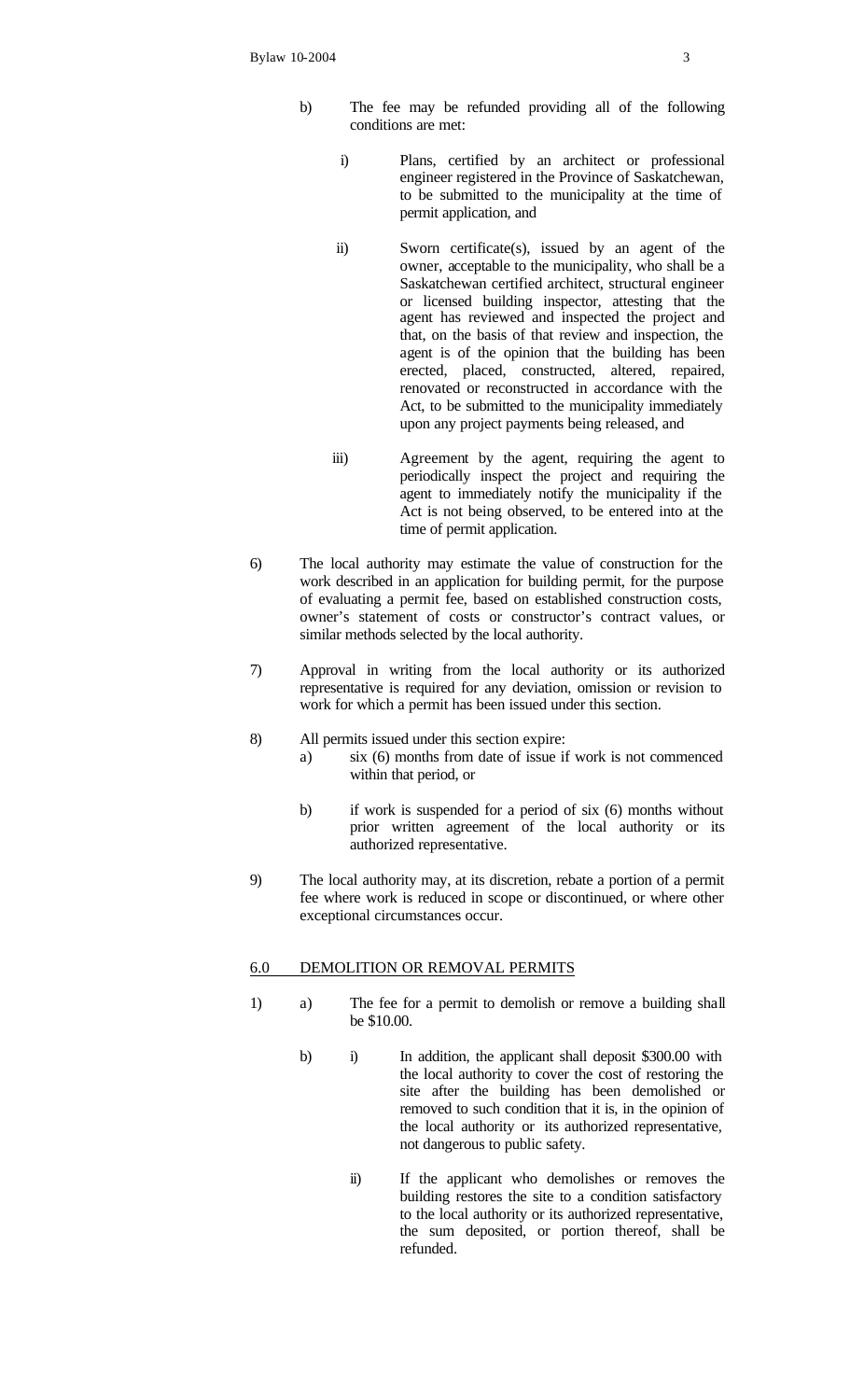- b) The fee may be refunded providing all of the following conditions are met:
	- i) Plans, certified by an architect or professional engineer registered in the Province of Saskatchewan, to be submitted to the municipality at the time of permit application, and
	- ii) Sworn certificate(s), issued by an agent of the owner, acceptable to the municipality, who shall be a Saskatchewan certified architect, structural engineer or licensed building inspector, attesting that the agent has reviewed and inspected the project and that, on the basis of that review and inspection, the agent is of the opinion that the building has been erected, placed, constructed, altered, repaired, renovated or reconstructed in accordance with the Act, to be submitted to the municipality immediately upon any project payments being released, and
	- iii) Agreement by the agent, requiring the agent to periodically inspect the project and requiring the agent to immediately notify the municipality if the Act is not being observed, to be entered into at the time of permit application.
- 6) The local authority may estimate the value of construction for the work described in an application for building permit, for the purpose of evaluating a permit fee, based on established construction costs, owner's statement of costs or constructor's contract values, or similar methods selected by the local authority.
- 7) Approval in writing from the local authority or its authorized representative is required for any deviation, omission or revision to work for which a permit has been issued under this section.
- 8) All permits issued under this section expire:
	- a) six (6) months from date of issue if work is not commenced within that period, or
	- b) if work is suspended for a period of six (6) months without prior written agreement of the local authority or its authorized representative.
- 9) The local authority may, at its discretion, rebate a portion of a permit fee where work is reduced in scope or discontinued, or where other exceptional circumstances occur.

# 6.0 DEMOLITION OR REMOVAL PERMITS

- 1) a) The fee for a permit to demolish or remove a building shall be \$10.00.
	- b) i) In addition, the applicant shall deposit \$300.00 with the local authority to cover the cost of restoring the site after the building has been demolished or removed to such condition that it is, in the opinion of the local authority or its authorized representative, not dangerous to public safety.
		- ii) If the applicant who demolishes or removes the building restores the site to a condition satisfactory to the local authority or its authorized representative, the sum deposited, or portion thereof, shall be refunded.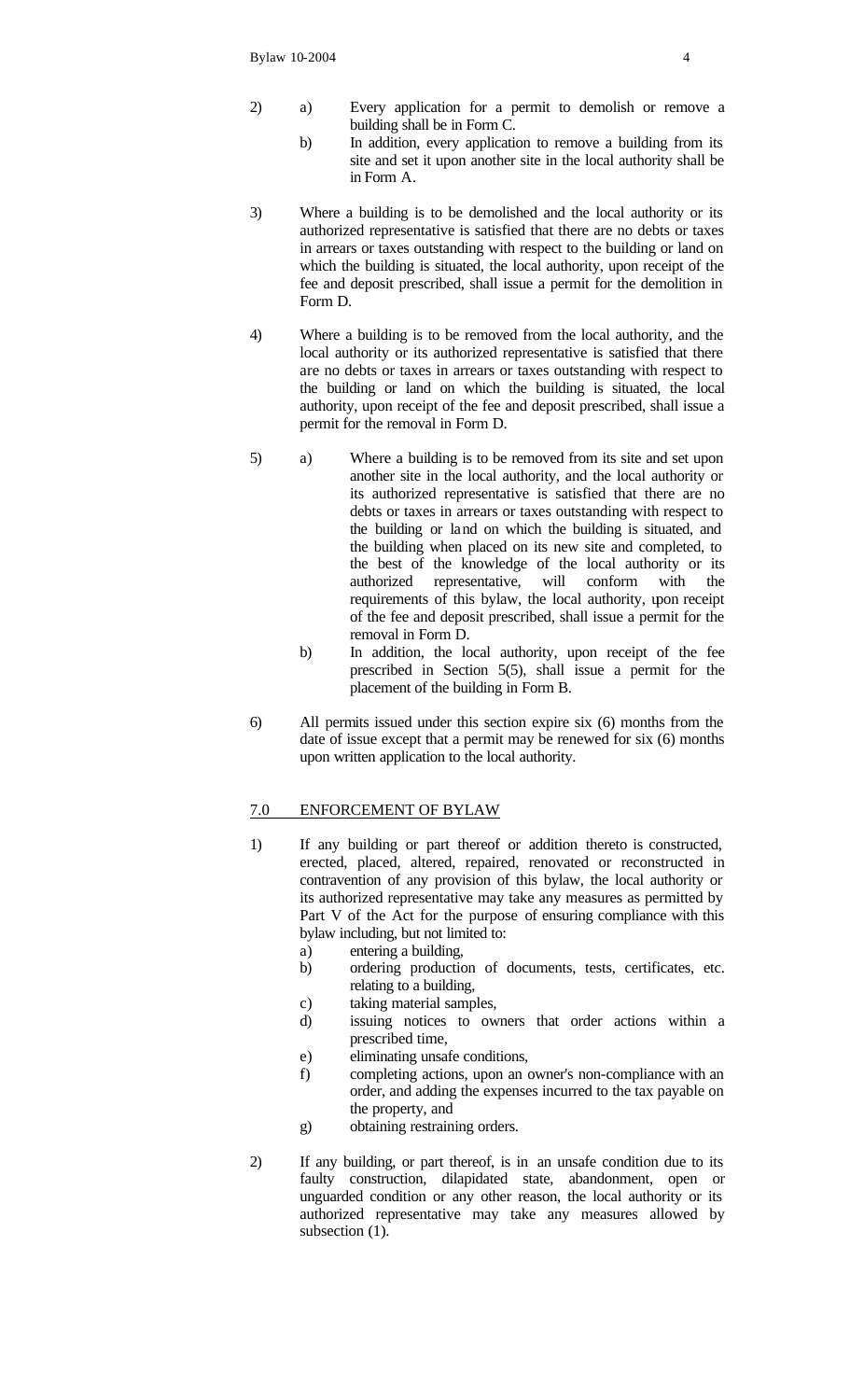- 2) a) Every application for a permit to demolish or remove a building shall be in Form C.
	- b) In addition, every application to remove a building from its site and set it upon another site in the local authority shall be in Form A.
- 3) Where a building is to be demolished and the local authority or its authorized representative is satisfied that there are no debts or taxes in arrears or taxes outstanding with respect to the building or land on which the building is situated, the local authority, upon receipt of the fee and deposit prescribed, shall issue a permit for the demolition in Form D.
- 4) Where a building is to be removed from the local authority, and the local authority or its authorized representative is satisfied that there are no debts or taxes in arrears or taxes outstanding with respect to the building or land on which the building is situated, the local authority, upon receipt of the fee and deposit prescribed, shall issue a permit for the removal in Form D.
- 5) a) Where a building is to be removed from its site and set upon another site in the local authority, and the local authority or its authorized representative is satisfied that there are no debts or taxes in arrears or taxes outstanding with respect to the building or land on which the building is situated, and the building when placed on its new site and completed, to the best of the knowledge of the local authority or its authorized representative, will conform with the requirements of this bylaw, the local authority, upon receipt of the fee and deposit prescribed, shall issue a permit for the removal in Form D.
	- b) In addition, the local authority, upon receipt of the fee prescribed in Section 5(5), shall issue a permit for the placement of the building in Form B.
- 6) All permits issued under this section expire six (6) months from the date of issue except that a permit may be renewed for six (6) months upon written application to the local authority.

# 7.0 ENFORCEMENT OF BYLAW

- 1) If any building or part thereof or addition thereto is constructed, erected, placed, altered, repaired, renovated or reconstructed in contravention of any provision of this bylaw, the local authority or its authorized representative may take any measures as permitted by Part V of the Act for the purpose of ensuring compliance with this bylaw including, but not limited to:
	- a) entering a building,
	- b) ordering production of documents, tests, certificates, etc. relating to a building,
	- c) taking material samples,
	- d) issuing notices to owners that order actions within a prescribed time,
	- e) eliminating unsafe conditions,
	- f) completing actions, upon an owner's non-compliance with an order, and adding the expenses incurred to the tax payable on the property, and
	- g) obtaining restraining orders.
- 2) If any building, or part thereof, is in an unsafe condition due to its faulty construction, dilapidated state, abandonment, open or unguarded condition or any other reason, the local authority or its authorized representative may take any measures allowed by subsection  $(1)$ .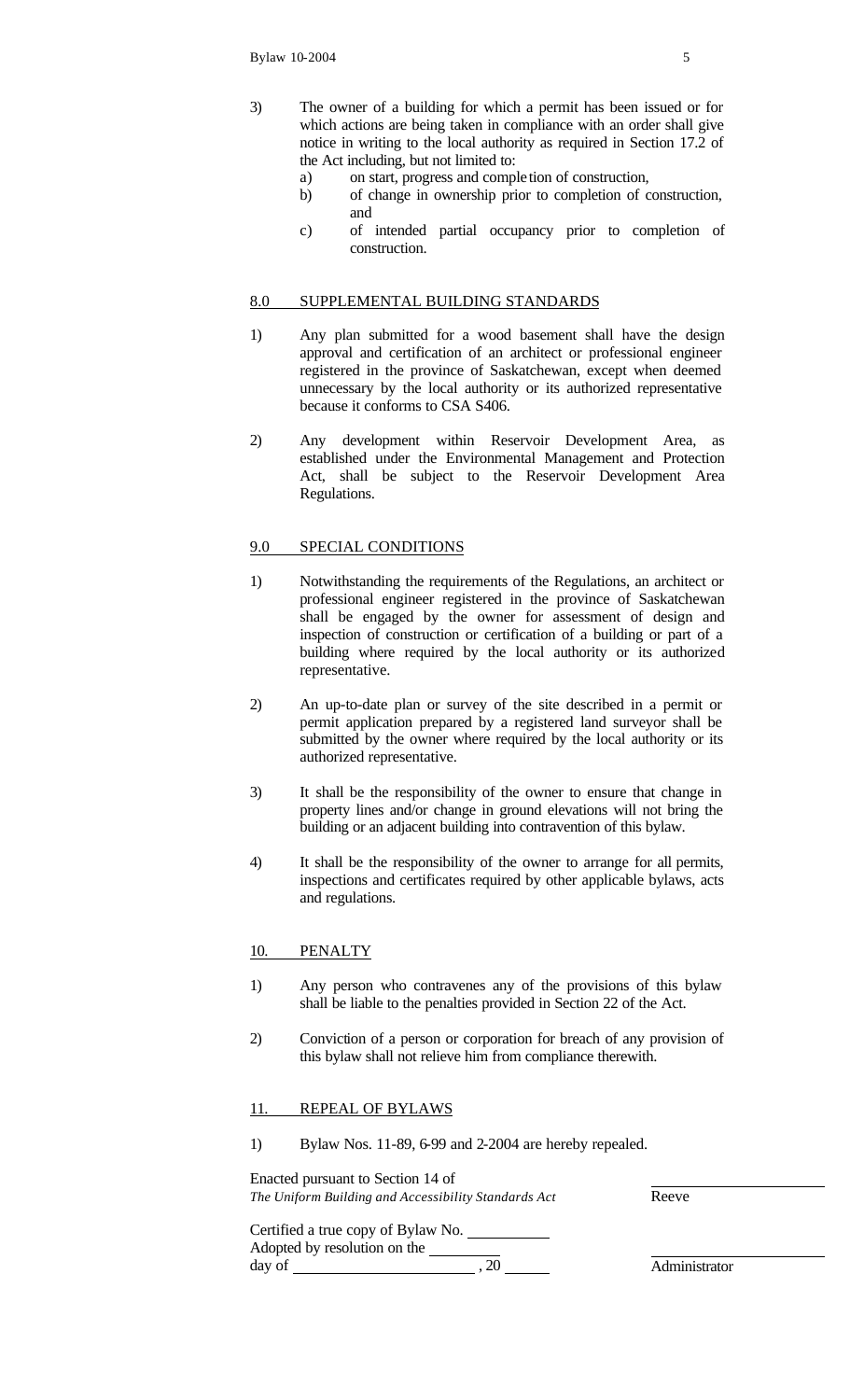- 3) The owner of a building for which a permit has been issued or for which actions are being taken in compliance with an order shall give notice in writing to the local authority as required in Section 17.2 of the Act including, but not limited to:
	- a) on start, progress and comple tion of construction,
	- b) of change in ownership prior to completion of construction, and
	- c) of intended partial occupancy prior to completion of construction.

# 8.0 SUPPLEMENTAL BUILDING STANDARDS

- 1) Any plan submitted for a wood basement shall have the design approval and certification of an architect or professional engineer registered in the province of Saskatchewan, except when deemed unnecessary by the local authority or its authorized representative because it conforms to CSA S406.
- 2) Any development within Reservoir Development Area, as established under the Environmental Management and Protection Act, shall be subject to the Reservoir Development Area Regulations.

# 9.0 SPECIAL CONDITIONS

- 1) Notwithstanding the requirements of the Regulations, an architect or professional engineer registered in the province of Saskatchewan shall be engaged by the owner for assessment of design and inspection of construction or certification of a building or part of a building where required by the local authority or its authorized representative.
- 2) An up-to-date plan or survey of the site described in a permit or permit application prepared by a registered land surveyor shall be submitted by the owner where required by the local authority or its authorized representative.
- 3) It shall be the responsibility of the owner to ensure that change in property lines and/or change in ground elevations will not bring the building or an adjacent building into contravention of this bylaw.
- 4) It shall be the responsibility of the owner to arrange for all permits, inspections and certificates required by other applicable bylaws, acts and regulations.

### 10. PENALTY

- 1) Any person who contravenes any of the provisions of this bylaw shall be liable to the penalties provided in Section 22 of the Act.
- 2) Conviction of a person or corporation for breach of any provision of this bylaw shall not relieve him from compliance therewith.

### 11. REPEAL OF BYLAWS

1) Bylaw Nos. 11-89, 6-99 and 2-2004 are hereby repealed.

| Enacted pursuant to Section 14 of  |                                                      |               |
|------------------------------------|------------------------------------------------------|---------------|
|                                    | The Uniform Building and Accessibility Standards Act | Reeve         |
| Certified a true copy of Bylaw No. |                                                      |               |
| Adopted by resolution on the       |                                                      |               |
| day of                             |                                                      | Administrator |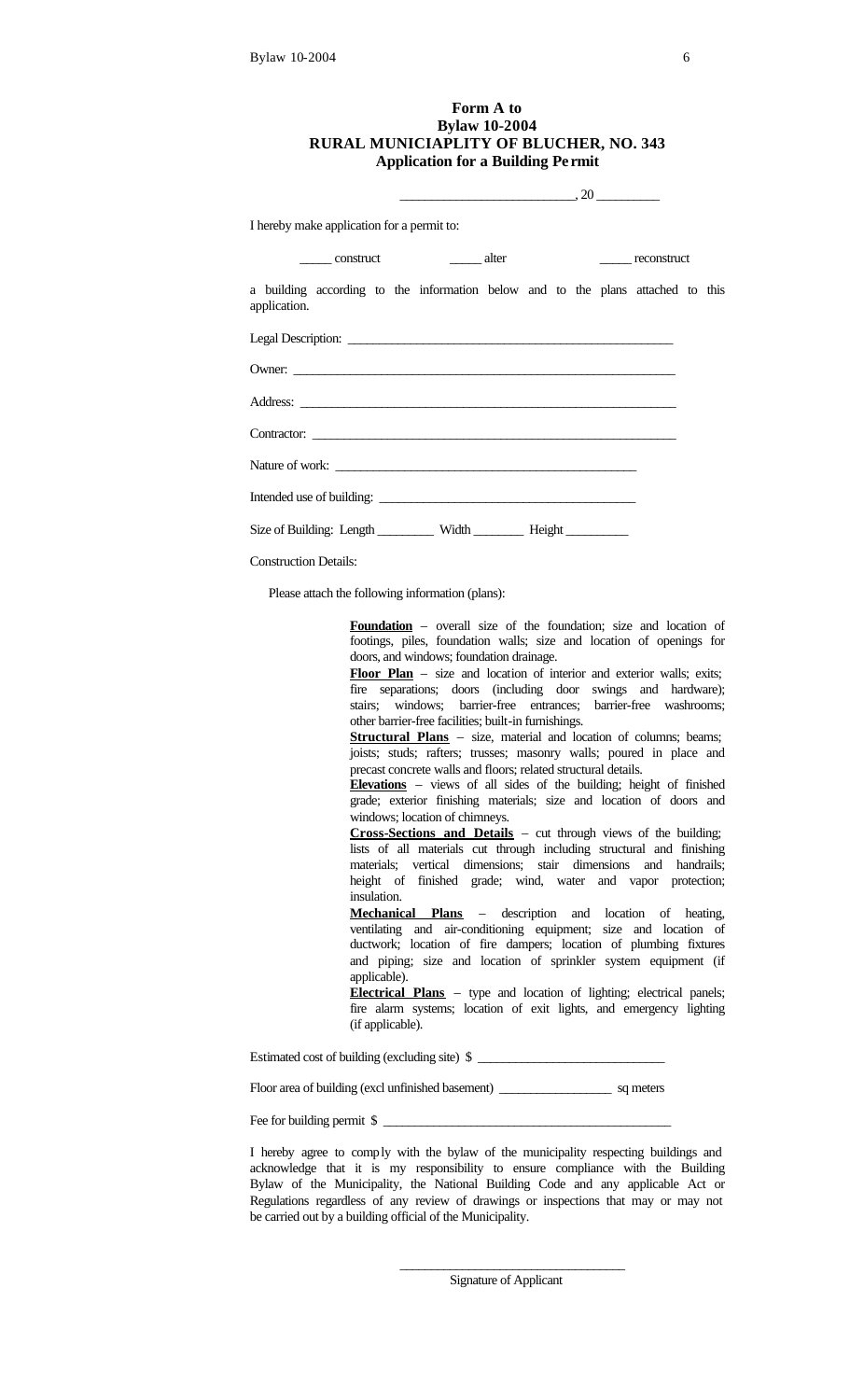## **Form A to Bylaw 10-2004 RURAL MUNICIAPLITY OF BLUCHER, NO. 343 Application for a Building Pe rmit**

|                                                                                                 | $\overbrace{\hspace{2.5cm}}^{20}$ |  |             |  |
|-------------------------------------------------------------------------------------------------|-----------------------------------|--|-------------|--|
| I hereby make application for a permit to:                                                      |                                   |  |             |  |
| construct alter                                                                                 |                                   |  | reconstruct |  |
| a building according to the information below and to the plans attached to this<br>application. |                                   |  |             |  |
|                                                                                                 |                                   |  |             |  |
| Owner:                                                                                          |                                   |  |             |  |
|                                                                                                 |                                   |  |             |  |
|                                                                                                 |                                   |  |             |  |
| Nature of work:                                                                                 |                                   |  |             |  |
|                                                                                                 |                                   |  |             |  |
| Size of Building: Length _________ Width ________ Height _________                              |                                   |  |             |  |
| <b>Construction Details:</b>                                                                    |                                   |  |             |  |

Please attach the following information (plans):

**Foundation** – overall size of the foundation; size and location of footings, piles, foundation walls; size and location of openings for doors, and windows; foundation drainage.

Floor Plan – size and location of interior and exterior walls; exits; fire separations; doors (including door swings and hardware); stairs; windows; barrier-free entrances; barrier-free washrooms; other barrier-free facilities; built-in furnishings.

**Structural Plans** – size, material and location of columns; beams; joists; studs; rafters; trusses; masonry walls; poured in place and precast concrete walls and floors; related structural details.

**Elevations** – views of all sides of the building; height of finished grade; exterior finishing materials; size and location of doors and windows; location of chimneys.

**Cross-Sections and Details** – cut through views of the building; lists of all materials cut through including structural and finishing materials; vertical dimensions; stair dimensions and handrails; height of finished grade; wind, water and vapor protection; insulation.

**Mechanical Plans** – description and location of heating, ventilating and air-conditioning equipment; size and location of ductwork; location of fire dampers; location of plumbing fixtures and piping; size and location of sprinkler system equipment (if applicable).

**Electrical Plans** – type and location of lighting; electrical panels; fire alarm systems; location of exit lights, and emergency lighting (if applicable).

Estimated cost of building (excluding site) \$

Floor area of building (excl unfinished basement) \_\_\_\_\_\_\_\_\_\_\_\_\_\_\_\_\_\_ sq meters

Fee for building permit \$

I hereby agree to comply with the bylaw of the municipality respecting buildings and acknowledge that it is my responsibility to ensure compliance with the Building Bylaw of the Municipality, the National Building Code and any applicable Act or Regulations regardless of any review of drawings or inspections that may or may not be carried out by a building official of the Municipality.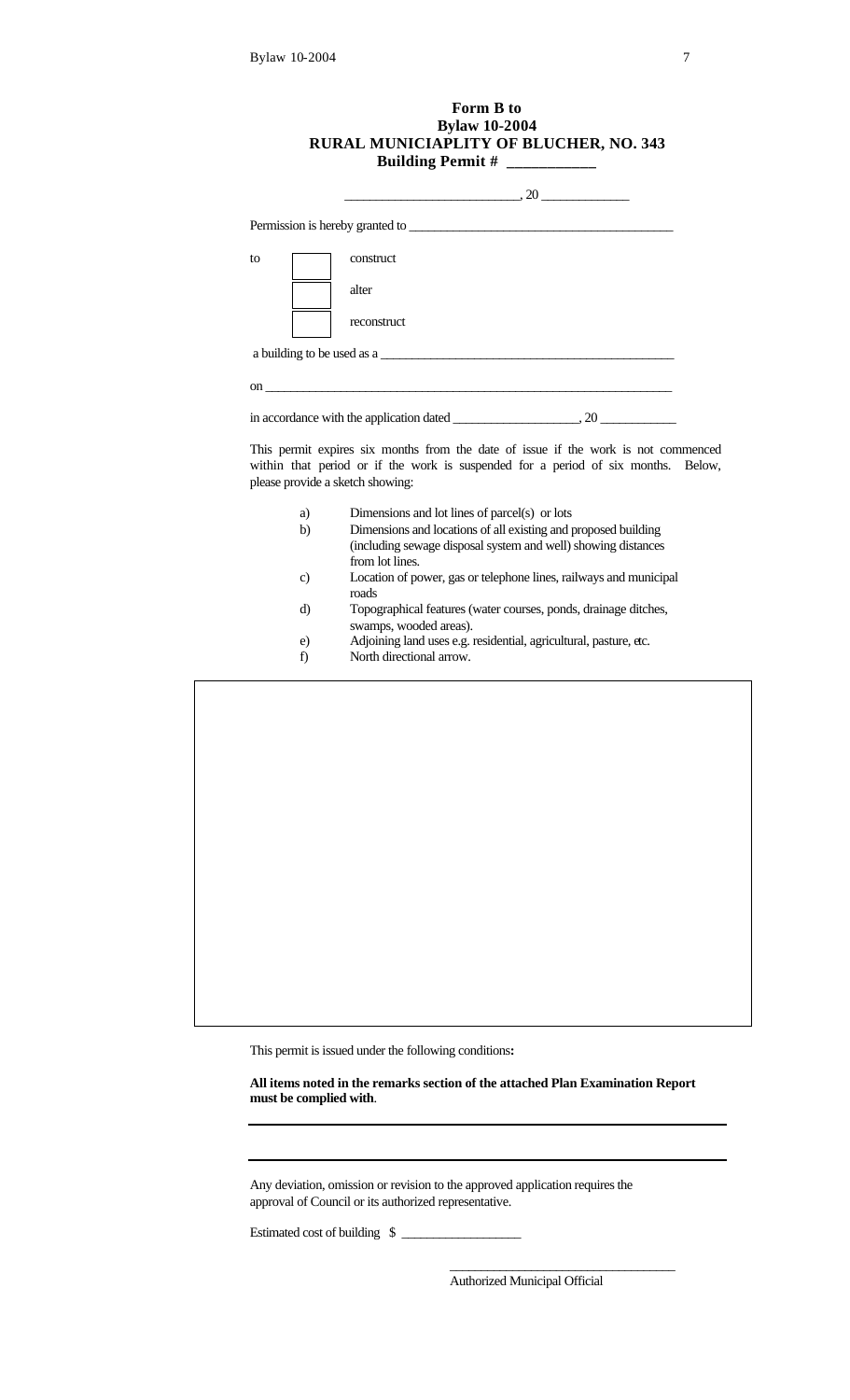# **Form B to Bylaw 10-2004 RURAL MUNICIAPLITY OF BLUCHER, NO. 343 Building Permit # \_\_\_\_\_\_\_\_\_\_\_**

| to                               | construct                                                                                                                                                               |  |
|----------------------------------|-------------------------------------------------------------------------------------------------------------------------------------------------------------------------|--|
|                                  | alter                                                                                                                                                                   |  |
|                                  | reconstruct                                                                                                                                                             |  |
|                                  | a building to be used as a                                                                                                                                              |  |
|                                  | on $\overline{\phantom{a}}$                                                                                                                                             |  |
|                                  |                                                                                                                                                                         |  |
| please provide a sketch showing: | This permit expires six months from the date of issue if the work is not commenced<br>within that period or if the work is suspended for a period of six months. Below, |  |
| a)                               | Dimensions and lot lines of parcel(s) or lots                                                                                                                           |  |
| b)                               | Dimensions and locations of all existing and proposed building<br>(including sewage disposal system and well) showing distances<br>from lot lines.                      |  |
| c)                               | Location of power, gas or telephone lines, railways and municipal<br>roads                                                                                              |  |
| d)                               | Topographical features (water courses, ponds, drainage ditches,<br>swamps, wooded areas).                                                                               |  |

- e) Adjoining land uses e.g. residential, agricultural, pasture, etc.<br>f) North directional arrow.
- North directional arrow.

This permit is issued under the following conditions**:**

**All items noted in the remarks section of the attached Plan Examination Report must be complied with**.

Any deviation, omission or revision to the approved application requires the approval of Council or its authorized representative.

Estimated cost of building \$

Authorized Municipal Official

\_\_\_\_\_\_\_\_\_\_\_\_\_\_\_\_\_\_\_\_\_\_\_\_\_\_\_\_\_\_\_\_\_\_\_\_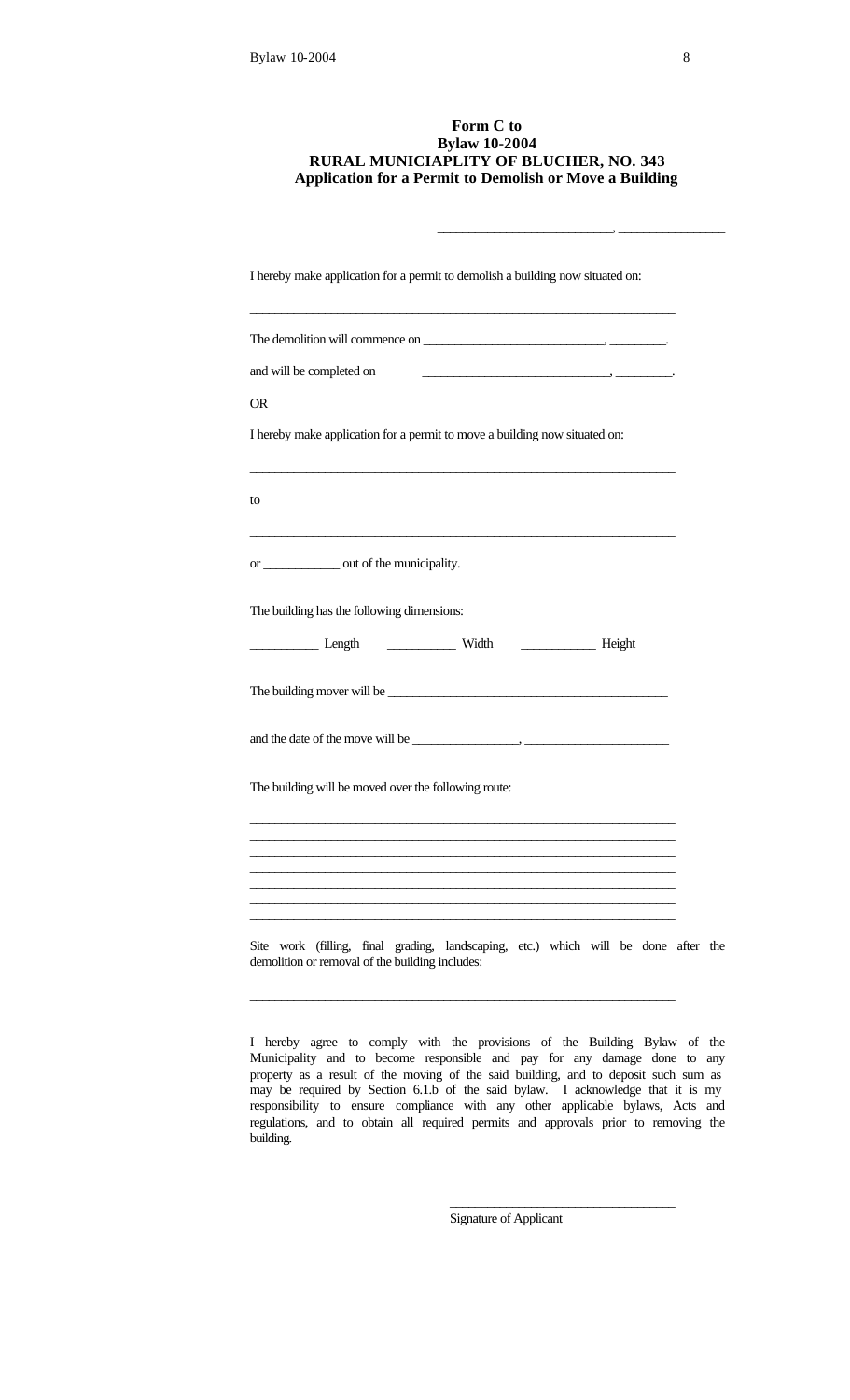## **Form C to Bylaw 10-2004 RURAL MUNICIAPLITY OF BLUCHER, NO. 343 Application for a Permit to Demolish or Move a Building**

\_\_\_\_\_\_\_\_\_\_\_\_\_\_\_\_\_\_\_\_\_\_\_\_\_\_\_\_, \_\_\_\_\_\_\_\_\_\_\_\_\_\_\_\_\_

| I hereby make application for a permit to demolish a building now situated on:                                                                                      |  |
|---------------------------------------------------------------------------------------------------------------------------------------------------------------------|--|
|                                                                                                                                                                     |  |
| and will be completed on                                                                                                                                            |  |
| <b>OR</b>                                                                                                                                                           |  |
| I hereby make application for a permit to move a building now situated on:                                                                                          |  |
| to                                                                                                                                                                  |  |
| <u> 1989 - Andrea Stadt Britain, amerikan bisa di sebagai perang di sebagai perang di sebagai perang di sebagai p</u><br>or ______________ out of the municipality. |  |
| The building has the following dimensions:                                                                                                                          |  |
|                                                                                                                                                                     |  |
|                                                                                                                                                                     |  |
|                                                                                                                                                                     |  |
| The building will be moved over the following route:                                                                                                                |  |
|                                                                                                                                                                     |  |
|                                                                                                                                                                     |  |
|                                                                                                                                                                     |  |
| Site work (filling, final grading, landscaping, etc.) which will be done after the<br>demolition or removal of the building includes:                               |  |
|                                                                                                                                                                     |  |

I hereby agree to comply with the provisions of the Building Bylaw of the Municipality and to become responsible and pay for any damage done to any property as a result of the moving of the said building, and to deposit such sum as may be required by Section 6.1.b of the said bylaw. I acknowledge that it is my responsibility to ensure compliance with any other applicable bylaws, Acts and regulations, and to obtain all required permits and approvals prior to removing the building.

Signature of Applicant

\_\_\_\_\_\_\_\_\_\_\_\_\_\_\_\_\_\_\_\_\_\_\_\_\_\_\_\_\_\_\_\_\_\_\_\_